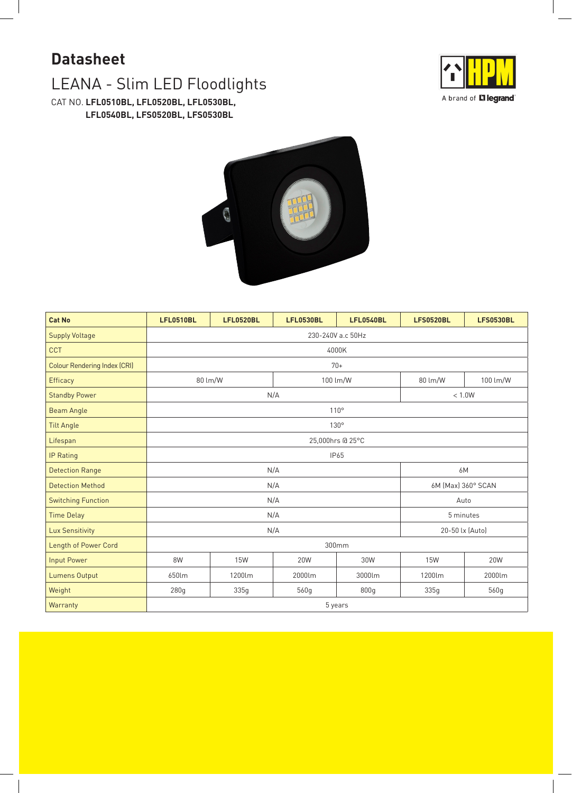## LEANA - Slim LED Floodlights **Datasheet**

CAT NO. **LFL0510BL, LFL0520BL, LFL0530BL, LFL0540BL, LFS0520BL, LFS0530BL**





| <b>Cat No</b>                       | <b>LFL0510BL</b>  | <b>LFL0520BL</b>    | <b>LFL0530BL</b>   | <b>LFL0540BL</b> | <b>LFS0520BL</b> | <b>LFS0530BL</b> |  |  |
|-------------------------------------|-------------------|---------------------|--------------------|------------------|------------------|------------------|--|--|
| <b>Supply Voltage</b>               | 230-240V a.c 50Hz |                     |                    |                  |                  |                  |  |  |
| <b>CCT</b>                          | 4000K             |                     |                    |                  |                  |                  |  |  |
| <b>Colour Rendering Index (CRI)</b> | $70+$             |                     |                    |                  |                  |                  |  |  |
| Efficacy                            |                   | 100 lm/W<br>80 lm/W |                    | 80 lm/W          | 100 lm/W         |                  |  |  |
| <b>Standby Power</b>                |                   | N/A                 | $< 1.0W$           |                  |                  |                  |  |  |
| <b>Beam Angle</b>                   | 110°              |                     |                    |                  |                  |                  |  |  |
| <b>Tilt Angle</b>                   | 130°              |                     |                    |                  |                  |                  |  |  |
| Lifespan                            | 25,000hrs @ 25°C  |                     |                    |                  |                  |                  |  |  |
| IP Rating                           | <b>IP65</b>       |                     |                    |                  |                  |                  |  |  |
| <b>Detection Range</b>              |                   | N/A                 | 6M                 |                  |                  |                  |  |  |
| <b>Detection Method</b>             |                   | N/A                 | 6M (Max) 360° SCAN |                  |                  |                  |  |  |
| <b>Switching Function</b>           | N/A               |                     |                    |                  |                  | Auto             |  |  |
| <b>Time Delay</b>                   | N/A               |                     |                    |                  |                  | 5 minutes        |  |  |
| <b>Lux Sensitivity</b>              |                   | N/A                 | 20-50 lx (Auto)    |                  |                  |                  |  |  |
| Length of Power Cord                | 300mm             |                     |                    |                  |                  |                  |  |  |
| <b>Input Power</b>                  | 8W                | <b>15W</b>          | 20W                | 30W              | <b>15W</b>       | 20W              |  |  |
| <b>Lumens Output</b>                | 650lm             | 1200lm              | 2000lm             | 3000lm           | 1200lm           | 2000lm           |  |  |
| Weight                              | 280g              | 335g                | 560g               | 800g             | 335g             | 560g             |  |  |
| Warranty                            | 5 years           |                     |                    |                  |                  |                  |  |  |